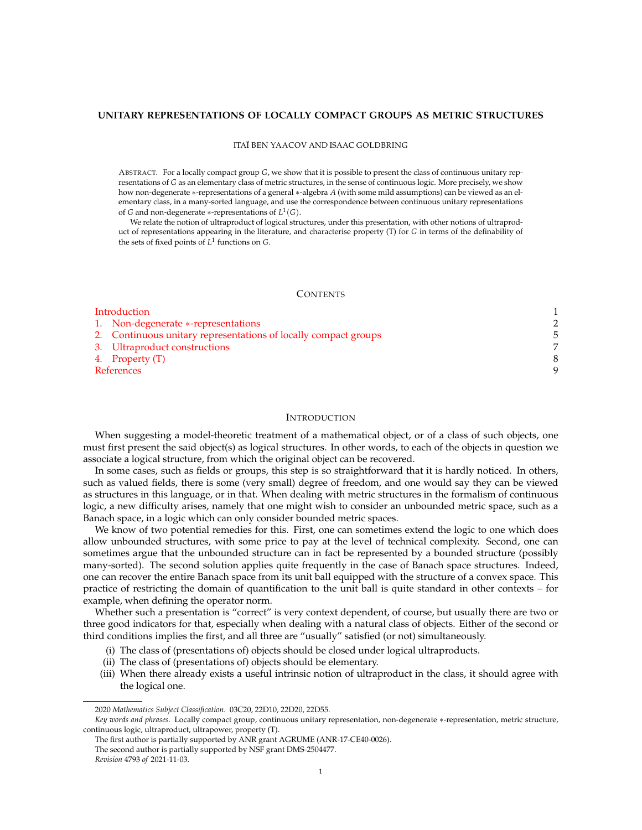# **UNITARY REPRESENTATIONS OF LOCALLY COMPACT GROUPS AS METRIC STRUCTURES**

#### ITAÏ BEN YAACOV AND ISAAC GOLDBRING

ABSTRACT. For a locally compact group *G*, we show that it is possible to present the class of continuous unitary representations of *G* as an elementary class of metric structures, in the sense of continuous logic. More precisely, we show how non-degenerate \*-representations of a general \*-algebra *A* (with some mild assumptions) can be viewed as an elementary class, in a many-sorted language, and use the correspondence between continuous unitary representations of *G* and non-degenerate \*-representations of  $L^1(G)$ .

We relate the notion of ultraproduct of logical structures, under this presentation, with other notions of ultraproduct of representations appearing in the literature, and characterise property (T) for *G* in terms of the definability of the sets of fixed points of *L*<sup>1</sup> functions on *G*.

### **CONTENTS**

| Introduction |                                                                 |  |
|--------------|-----------------------------------------------------------------|--|
|              | 1. Non-degenerate *-representations                             |  |
|              | 2. Continuous unitary representations of locally compact groups |  |
|              | 3. Ultraproduct constructions                                   |  |
|              | 4. Property (T)                                                 |  |
| References   |                                                                 |  |

### **INTRODUCTION**

When suggesting a model-theoretic treatment of a mathematical object, or of a class of such objects, one must first present the said object(s) as logical structures. In other words, to each of the objects in question we associate a logical structure, from which the original object can be recovered.

In some cases, such as fields or groups, this step is so straightforward that it is hardly noticed. In others, such as valued fields, there is some (very small) degree of freedom, and one would say they can be viewed as structures in this language, or in that. When dealing with metric structures in the formalism of continuous logic, a new difficulty arises, namely that one might wish to consider an unbounded metric space, such as a Banach space, in a logic which can only consider bounded metric spaces.

We know of two potential remedies for this. First, one can sometimes extend the logic to one which does allow unbounded structures, with some price to pay at the level of technical complexity. Second, one can sometimes argue that the unbounded structure can in fact be represented by a bounded structure (possibly many-sorted). The second solution applies quite frequently in the case of Banach space structures. Indeed, one can recover the entire Banach space from its unit ball equipped with the structure of a convex space. This practice of restricting the domain of quantification to the unit ball is quite standard in other contexts – for example, when defining the operator norm.

Whether such a presentation is "correct" is very context dependent, of course, but usually there are two or three good indicators for that, especially when dealing with a natural class of objects. Either of the second or third conditions implies the first, and all three are "usually" satisfied (or not) simultaneously.

- (i) The class of (presentations of) objects should be closed under logical ultraproducts.
- (ii) The class of (presentations of) objects should be elementary.
- (iii) When there already exists a useful intrinsic notion of ultraproduct in the class, it should agree with the logical one.

<sup>2020</sup> *Mathematics Subject Classification.* 03C20, 22D10, 22D20, 22D55.

*Key words and phrases.* Locally compact group, continuous unitary representation, non-degenerate \*-representation, metric structure, continuous logic, ultraproduct, ultrapower, property (T).

The first author is partially supported by ANR grant AGRUME (ANR-17-CE40-0026).

The second author is partially supported by NSF grant DMS-2504477.

*Revision* 4793 *of* 2021-11-03.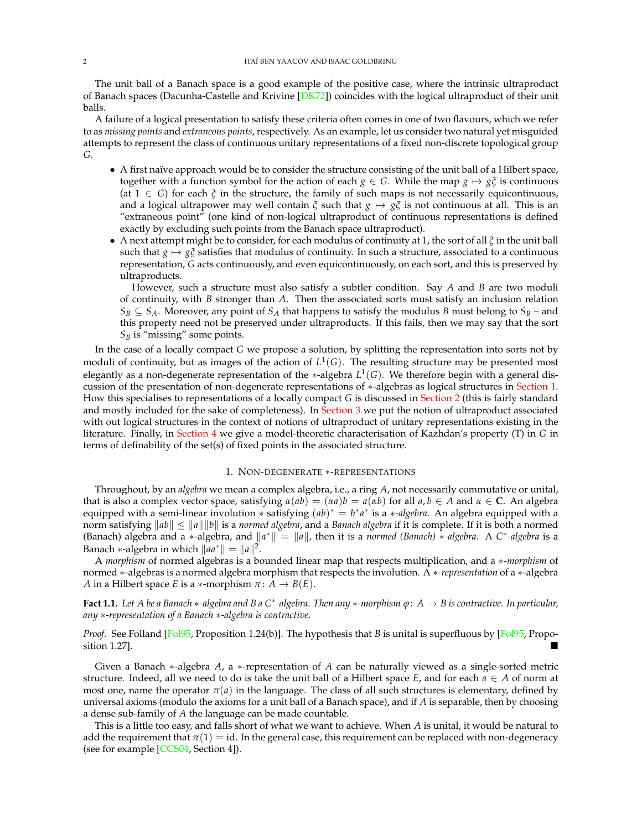The unit ball of a Banach space is a good example of the positive case, where the intrinsic ultraproduct of Banach spaces (Dacunha-Castelle and Krivine [DK72]) coincides with the logical ultraproduct of their unit balls.

A failure of a logical presentation to satisfy these criteria often comes in one of two flavours, which we refer to as *missing points* and *extraneous points*, respectively. As an example, let us consider two natural yet misguided attempts to represent the class of continuous unitary representations of a fixed non-discrete topological group *G*.

- *•* A first naïve approach would be to consider the structure consisting of the unit ball of a Hilbert space, together with a function symbol for the action of each  $g \in G$ . While the map  $g \mapsto g \xi$  is continuous (at  $1 \in G$ ) for each  $\zeta$  in the structure, the family of such maps is not necessarily equicontinuous, and a logical ultrapower may well contain  $\zeta$  such that  $g \mapsto g\zeta$  is not continuous at all. This is an "extraneous point" (one kind of non-logical ultraproduct of continuous representations is defined exactly by excluding such points from the Banach space ultraproduct).
- A next attempt might be to consider, for each modulus of continuity at 1, the sort of all  $\zeta$  in the unit ball such that  $g \mapsto g\zeta$  satisfies that modulus of continuity. In such a structure, associated to a continuous representation, *G* acts continuously, and even equicontinuously, on each sort, and this is preserved by ultraproducts.

However, such a structure must also satisfy a subtler condition. Say *A* and *B* are two moduli of continuity, with *B* stronger than *A*. Then the associated sorts must satisfy an inclusion relation  $S_B \subseteq S_A$ . Moreover, any point of  $S_A$  that happens to satisfy the modulus *B* must belong to  $S_B$  – and this property need not be preserved under ultraproducts. If this fails, then we may say that the sort  $S_B$  is "missing" some points.

In the case of a locally compact *G* we propose a solution, by splitting the representation into sorts not by moduli of continuity, but as images of the action of  $L^1(G)$ . The resulting structure may be presented most elegantly as a non-degenerate representation of the  $*$ -algebra  $L^1(G)$ . We therefore begin with a general discussion of the presentation of non-degenerate representations of  $*$ -algebras as logical structures in Section 1. How this specialises to representations of a locally compact *G* is discussed in Section 2 (this is fairly standard and mostly included for the sake of completeness). In Section 3 we put the notion of ultraproduct associated with out logical structures in the context of notions of ultraproduct of unitary representations existing in the literature. Finally, in Section 4 we give a model-theoretic characterisation of Kazhdan's property (T) in *G* in terms of definability of the set(s) of fixed points in the associated structure.

#### 1. NON-DEGENERATE \*-REPRESENTATIONS

Throughout, by an *algebra* we mean a complex algebra, i.e., a ring *A*, not necessarily commutative or unital, that is also a complex vector space, satisfying  $\alpha(ab) = (\alpha a)b = a(\alpha b)$  for all  $a, b \in A$  and  $\alpha \in C$ . An algebra equipped with a semi-linear involution  $*$  satisfying  $(ab)^* = b^*a^*$  is a  $*$ *-algebra*. An algebra equipped with a norm satisfying  $\|ab\| \le \|a\| \|b\|$  is a *normed algebra*, and a *Banach algebra* if it is complete. If it is both a normed (Banach) algebra and a  $*$ -algebra, and  $||a^*|| = ||a||$ , then it is a *normed (Banach)*  $*$ -algebra. A *C* $*$ -algebra is a Banach \*-algebra in which  $\|aa^*\| = \|a\|^2$ .

A *morphism* of normed algebras is a bounded linear map that respects multiplication, and a \*-*morphism* of normed \*-algebras is a normed algebra morphism that respects the involution. A \*-*representation* of a \*-algebra *A* in a Hilbert space *E* is a  $*$ -morphism  $\pi: A \rightarrow B(E)$ .

**Fact 1.1.** Let A be a Banach  $*$ -algebra and B a C<sup>\*</sup>-algebra. Then any  $*$ -morphism  $\varphi: A \to B$  is contractive. In particular, *any* ⇤*-representation of a Banach* ⇤*-algebra is contractive.*

*Proof.* See Folland [Fol95, Proposition 1.24(b)]. The hypothesis that *B* is unital is superfluous by [Fol95, Proposition 1.27].  $\blacksquare$ 

Given a Banach \*-algebra *A*, a \*-representation of *A* can be naturally viewed as a single-sorted metric structure. Indeed, all we need to do is take the unit ball of a Hilbert space *E*, and for each  $a \in A$  of norm at most one, name the operator  $\pi(a)$  in the language. The class of all such structures is elementary, defined by universal axioms (modulo the axioms for a unit ball of a Banach space), and if *A* is separable, then by choosing a dense sub-family of *A* the language can be made countable.

This is a little too easy, and falls short of what we want to achieve. When *A* is unital, it would be natural to add the requirement that  $\pi(1) = id$ . In the general case, this requirement can be replaced with non-degeneracy (see for example [CCS04, Section 4]).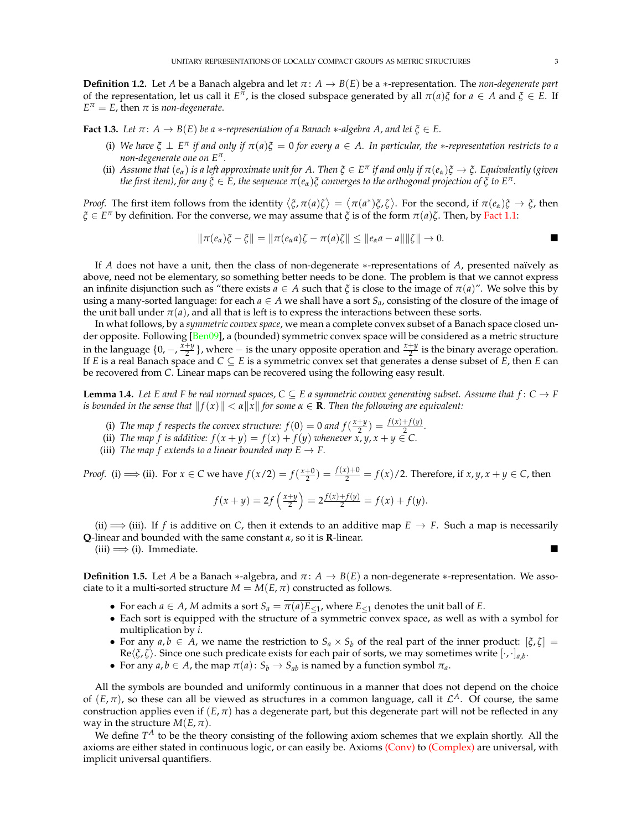**Definition 1.2.** Let *A* be a Banach algebra and let  $\pi$ :  $A \rightarrow B(E)$  be a  $*$ -representation. The *non-degenerate part* of the representation, let us call it  $E^{\pi}$ , is the closed subspace generated by all  $\pi(a)\xi$  for  $a \in A$  and  $\xi \in E$ . If  $E^{\pi} = E$ , then  $\pi$  is *non-degenerate*.

**Fact 1.3.** Let  $\pi: A \rightarrow B(E)$  be a  $*$ -representation of a Banach  $*$ -algebra A, and let  $\xi \in E$ .

- (i) We have  $\xi \perp E^{\pi}$  if and only if  $\pi(a)\xi = 0$  for every  $a \in A$ . In particular, the \*-representation restricts to a *non-degenerate one on*  $E^{\pi}$ *.*
- (ii) Assume that  $(e_\alpha)$  *is a left approximate unit for A. Then*  $\xi \in E^\pi$  *if and only if*  $\pi(e_\alpha)\xi \to \xi$ *. Equivalently (given the first item), for any*  $\xi \in E$ , the sequence  $\pi(e_{\alpha})\xi$  converges to the orthogonal projection of  $\xi$  to  $E^{\pi}$ .

*Proof.* The first item follows from the identity  $\langle \xi, \pi(a)\zeta \rangle = \langle \pi(a^*)\xi, \zeta \rangle$ . For the second, if  $\pi(e_{\alpha})\xi \to \zeta$ , then  $\zeta \in E^{\pi}$  by definition. For the converse, we may assume that  $\zeta$  is of the form  $\pi(a)\zeta$ . Then, by Fact 1.1:

$$
\|\pi(e_{\alpha})\xi-\xi\|=\|\pi(e_{\alpha}a)\zeta-\pi(a)\zeta\|\leq \|e_{\alpha}a-a\|\|\zeta\|\to 0.
$$

If *A* does not have a unit, then the class of non-degenerate \*-representations of *A*, presented naïvely as above, need not be elementary, so something better needs to be done. The problem is that we cannot express an infinite disjunction such as "there exists  $a \in A$  such that  $\zeta$  is close to the image of  $\pi(a)$ ". We solve this by using a many-sorted language: for each  $a \in A$  we shall have a sort  $S_a$ , consisting of the closure of the image of the unit ball under  $\pi(a)$ , and all that is left is to express the interactions between these sorts.

In what follows, by a *symmetric convex space*, we mean a complete convex subset of a Banach space closed under opposite. Following [Ben09], a (bounded) symmetric convex space will be considered as a metric structure in the language  $\{0, -\frac{x+y}{2}\}$ , where  $-$  is the unary opposite operation and  $\frac{x+y}{2}$  is the binary average operation. If *E* is a real Banach space and  $C \subseteq E$  is a symmetric convex set that generates a dense subset of *E*, then *E* can be recovered from *C*. Linear maps can be recovered using the following easy result.

**Lemma 1.4.** Let E and F be real normed spaces,  $C \subseteq E$  a symmetric convex generating subset. Assume that  $f: C \to F$ *is bounded in the sense that*  $||f(x)|| < \alpha ||x||$  *for some*  $\alpha \in \mathbf{R}$ *. Then the following are equivalent:* 

- (i) *The map f respects the convex structure:*  $f(0) = 0$  *and*  $f(\frac{x+y}{2}) = \frac{f(x)+f(y)}{2}$ .
- (ii) *The map f is additive:*  $f(x + y) = f(x) + f(y)$  *whenever*  $\overline{x}, \overline{y}, \overline{x} + \overline{y} \in \mathbb{C}$ .
- (iii) *The map f extends to a linear bounded map*  $E \to F$ .

*Proof.* (i)  $\implies$  (ii). For  $x \in C$  we have  $f(x/2) = f(\frac{x+0}{2}) = \frac{f(x)+0}{2} = f(x)/2$ . Therefore, if  $x, y, x + y \in C$ , then

$$
f(x + y) = 2f\left(\frac{x+y}{2}\right) = 2\frac{f(x) + f(y)}{2} = f(x) + f(y).
$$

(ii)  $\implies$  (iii). If *f* is additive on *C*, then it extends to an additive map  $E \to F$ . Such a map is necessarily **Q**-linear and bounded with the same constant  $\alpha$ , so it is **R**-linear.

 $(iii) \Longrightarrow (i)$ . Immediate.

**Definition 1.5.** Let *A* be a Banach  $*$ -algebra, and  $\pi: A \to B(E)$  a non-degenerate  $*$ -representation. We associate to it a multi-sorted structure  $M = M(E, \pi)$  constructed as follows.

- For each *a*  $\in$  *A*, *M* admits a sort *S<sub>a</sub>* =  $\overline{\pi(a)}E_{\leq 1}$ , where  $E_{\leq 1}$  denotes the unit ball of *E*.
- *•* Each sort is equipped with the structure of a symmetric convex space, as well as with a symbol for multiplication by *i*.
- For any  $a, b \in A$ , we name the restriction to  $S_a \times S_b$  of the real part of the inner product:  $[\xi, \zeta] =$  $Re\langle \xi, \zeta \rangle$ . Since one such predicate exists for each pair of sorts, we may sometimes write  $[\cdot, \cdot]_{a,b}$ .
- For any *a*, *b*  $\in$  *A*, the map  $\pi(a)$ :  $S_b \rightarrow S_{ab}$  is named by a function symbol  $\pi_a$ .

All the symbols are bounded and uniformly continuous in a manner that does not depend on the choice of  $(E, \pi)$ , so these can all be viewed as structures in a common language, call it  $\mathcal{L}^A$ . Of course, the same construction applies even if  $(E, \pi)$  has a degenerate part, but this degenerate part will not be reflected in any way in the structure  $M(E, \pi)$ .

We define  $T^A$  to be the theory consisting of the following axiom schemes that we explain shortly. All the axioms are either stated in continuous logic, or can easily be. Axioms (Conv) to (Complex) are universal, with implicit universal quantifiers.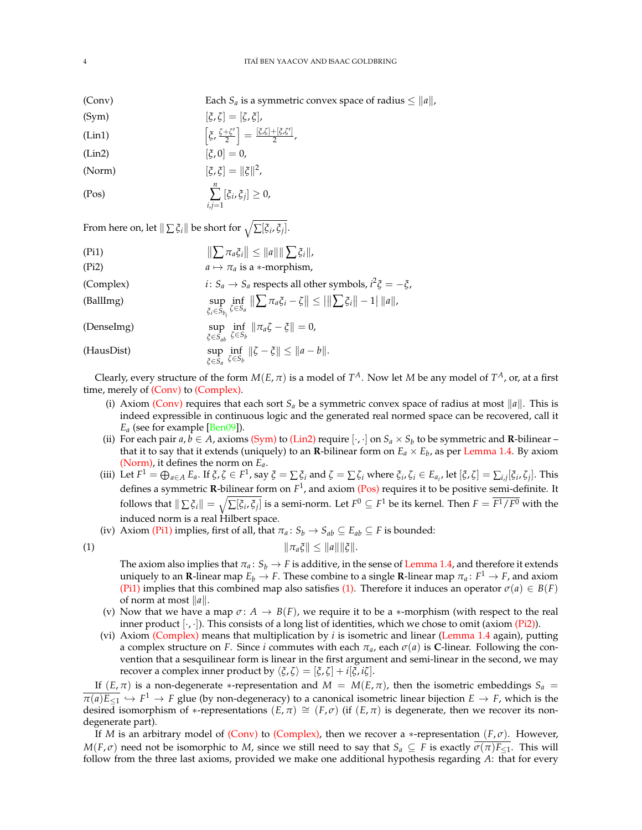- (Conv) Each *S<sub>a</sub>* is a symmetric convex space of radius  $\leq ||a||$ ,
- $[\xi, \zeta] = [\zeta, \xi],$
- (Lin1)  $\left[\xi, \frac{\zeta + \zeta'}{2}\right] = \frac{[\zeta, \zeta] + [\zeta, \zeta']}{2}$ ,
- (Lin2)  $[\xi, 0] = 0$ ,
- (Norm)  $[\xi, \xi] = ||\xi||^2$ ,

$$
\sum_{i,j=1}^n [\xi_i, \xi_j] \geq 0,
$$

From here on, let  $\Vert \sum \xi_i \Vert$  be short for  $\sqrt{\sum [\xi_i, \xi_j]}.$ 

(Pi1)  $\|\sum \pi_a \xi_i\| \leq \|a\| \|\sum \xi_i\|$ , (Pi2)  $a \mapsto \pi_a$  is a  $*$ -morphism, (Complex)  $i: S_a \to S_a$  respects all other symbols,  $i^2 \xi = -\xi$ , sup  $\xi_i \in S_{b_i}$ inf  $\zeta \in S_a$ (BallImg)  $\sup_{z \in S} \inf_{\zeta \in S} \|\sum \pi_a \xi_i - \zeta\| \leq ||\sum \xi_i|| - 1||a||$ sup  $\zeta \in S_{ab}$ inf (DenseImg)  $\sup_{\xi \in S_{ab}} \inf_{\zeta \in S_b} ||\pi_a \zeta - \xi|| = 0,$ sup  $\zeta \in S_a$ inf *z*<sub> $\xi \in S_a$ </sub>  $\lim_{\xi \in S_a}$   $\inf_{\xi \in S_b}$   $\|\zeta - \xi\| \leq \|a - b\|$ .

Clearly, every structure of the form  $M(E, \pi)$  is a model of  $T^A$ . Now let *M* be any model of  $T^A$ , or, at a first time, merely of (Conv) to (Complex).

- (i) Axiom (Conv) requires that each sort  $S_a$  be a symmetric convex space of radius at most  $||a||$ . This is indeed expressible in continuous logic and the generated real normed space can be recovered, call it  $E_a$  (see for example [Ben09]).
- (ii) For each pair  $a, b \in A$ , axioms (Sym) to (Lin2) require  $[\cdot, \cdot]$  on  $S_a \times S_b$  to be symmetric and **R**-bilinear that it to say that it extends (uniquely) to an **R**-bilinear form on  $E_a \times E_b$ , as per Lemma 1.4. By axiom (Norm), it defines the norm on *Ea*.
- (iii) Let  $F^1 = \bigoplus_{a \in A} E_a$ . If  $\xi, \zeta \in F^1$ , say  $\xi = \sum \xi_i$  and  $\zeta = \sum \zeta_i$  where  $\xi_i, \zeta_i \in E_{a_i}$ , let  $[\xi, \zeta] = \sum_{i,j} [\xi_i, \zeta_j]$ . This defines a symmetric **R**-bilinear form on *F*1, and axiom (Pos) requires it to be positive semi-definite. It follows that  $\|\sum \xi_i\| = \sqrt{\sum [\xi_i, \xi_j]}$  is a semi-norm. Let  $F^0 \subseteq F^1$  be its kernel. Then  $F = \overline{F^1/F^0}$  with the induced norm is a real Hilbert space.
- (iv) Axiom (Pi1) implies, first of all, that  $\pi_a: S_b \to S_{ab} \subseteq E_{ab} \subseteq F$  is bounded:

$$
||\pi_a\xi|| \leq ||a|| ||\xi||.
$$

The axiom also implies that  $\pi_a: S_b \to F$  is additive, in the sense of Lemma 1.4, and therefore it extends uniquely to an **R**-linear map  $E_b \to F$ . These combine to a single **R**-linear map  $\pi_a: F^1 \to F$ , and axiom (Pi1) implies that this combined map also satisfies (1). Therefore it induces an operator  $\sigma(a) \in B(F)$ of norm at most  $||a||$ .

- (v) Now that we have a map  $\sigma: A \to B(F)$ , we require it to be a \*-morphism (with respect to the real inner product  $[\cdot, \cdot]$ ). This consists of a long list of identities, which we chose to omit (axiom (Pi2)).
- (vi) Axiom (Complex) means that multiplication by *i* is isometric and linear (Lemma 1.4 again), putting a complex structure on *F*. Since *i* commutes with each  $\pi_a$ , each  $\sigma(a)$  is **C**-linear. Following the convention that a sesquilinear form is linear in the first argument and semi-linear in the second, we may recover a complex inner product by  $\langle \xi, \zeta \rangle = [\xi, \zeta] + i[\xi, i\zeta]$ .

If  $(E, \pi)$  is a non-degenerate \*-representation and  $M = M(E, \pi)$ , then the isometric embeddings  $S_a$  $\overline{\pi(a)E_{\leq 1}} \hookrightarrow F^1 \to F$  glue (by non-degeneracy) to a canonical isometric linear bijection  $E \to F$ , which is the desired isomorphism of \*-representations  $(E, \pi) \cong (F, \sigma)$  (if  $(E, \pi)$  is degenerate, then we recover its nondegenerate part).

If *M* is an arbitrary model of (Conv) to (Complex), then we recover a \*-representation  $(F, \sigma)$ . However,  $M(F, \sigma)$  need not be isomorphic to *M*, since we still need to say that  $S_a \subseteq F$  is exactly  $\sigma(\pi)F_{\leq 1}$ . This will follow from the three last axioms, provided we make one additional hypothesis regarding *A*: that for every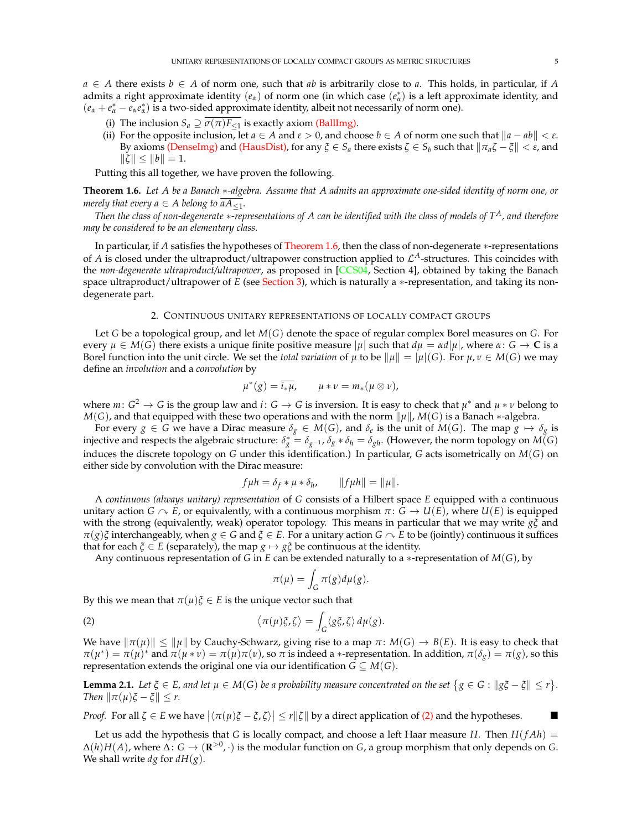$a \in A$  there exists  $b \in A$  of norm one, such that *ab* is arbitrarily close to *a*. This holds, in particular, if *A* admits a right approximate identity  $(e_\alpha)$  of norm one (in which case  $(e^*_\alpha)$  is a left approximate identity, and  $(e_{\alpha} + e_{\alpha}^* - e_{\alpha}e_{\alpha}^*)$  is a two-sided approximate identity, albeit not necessarily of norm one).

- (i) The inclusion  $S_a \supseteq \sigma(\pi)F_{\leq 1}$  is exactly axiom (BallImg).
- (ii) For the opposite inclusion, let  $a \in A$  and  $\epsilon > 0$ , and choose  $b \in A$  of norm one such that  $||a ab|| < \epsilon$ . By axioms (DenseImg) and (HausDist), for any  $\xi \in S_a$  there exists  $\zeta \in S_b$  such that  $\|\pi_a \zeta - \xi\| < \varepsilon$ , and  $\|\zeta\| \leq \|b\| = 1.$

Putting this all together, we have proven the following.

**Theorem 1.6.** *Let A be a Banach* \*-algebra. Assume that A admits an approximate one-sided identity of norm one, or *merely that every a*  $\in$  *A belong to*  $aA_{\leq 1}$ *.* 

*Then the class of non-degenerate*  $*$ -representations of A can be identified with the class of models of  $T^A$ , and therefore *may be considered to be an elementary class.*

In particular, if *A* satisfies the hypotheses of Theorem 1.6, then the class of non-degenerate \*-representations of *A* is closed under the ultraproduct/ultrapower construction applied to  $\mathcal{L}^A$ -structures. This coincides with the *non-degenerate ultraproduct/ultrapower*, as proposed in [CCS04, Section 4], obtained by taking the Banach space ultraproduct/ultrapower of *E* (see Section 3), which is naturally a \*-representation, and taking its nondegenerate part.

## 2. CONTINUOUS UNITARY REPRESENTATIONS OF LOCALLY COMPACT GROUPS

Let *G* be a topological group, and let *M*(*G*) denote the space of regular complex Borel measures on *G*. For every  $\mu \in M(G)$  there exists a unique finite positive measure  $|\mu|$  such that  $d\mu = \alpha d|\mu|$ , where  $\alpha: G \to \mathbb{C}$  is a Borel function into the unit circle. We set the *total variation* of  $\mu$  to be  $\|\mu\| = |\mu|(G)$ . For  $\mu, \nu \in M(G)$  we may define an *involution* and a *convolution* by

$$
\mu^*(g) = \overline{i_* \mu}, \qquad \mu * \nu = m_*(\mu \otimes \nu),
$$

where  $m: G^2 \to G$  is the group law and  $i: G \to G$  is inversion. It is easy to check that  $\mu^*$  and  $\mu * \nu$  belong to  $M(G)$ , and that equipped with these two operations and with the norm  $\|\mu\|$ ,  $M(G)$  is a Banach  $*$ -algebra.

For every  $g \in G$  we have a Dirac measure  $\delta_g \in M(G)$ , and  $\delta_e$  is the unit of  $M(G)$ . The map  $g \mapsto \delta_g$  is injective and respects the algebraic structure:  $\delta_g^* = \delta_{g^{-1}}$ ,  $\delta_g * \delta_h = \delta_{gh}$ . (However, the norm topology on  $M(G)$ induces the discrete topology on *G* under this identification.) In particular, *G* acts isometrically on *M*(*G*) on either side by convolution with the Dirac measure:

$$
f\mu h = \delta_f * \mu * \delta_h, \qquad ||f\mu h|| = ||\mu||.
$$

A *continuous (always unitary) representation* of *G* consists of a Hilbert space *E* equipped with a continuous unitary action *G*  $\sim$  *E*, or equivalently, with a continuous morphism  $\pi$ : *G*  $\rightarrow$  *U*(*E*), where *U*(*E*) is equipped with the strong (equivalently, weak) operator topology. This means in particular that we may write  $g\zeta$  and  $\pi(g)\xi$  interchangeably, when  $g \in G$  and  $\xi \in E$ . For a unitary action  $G \cap E$  to be (jointly) continuous it suffices that for each  $\xi \in E$  (separately), the map  $g \mapsto g\xi$  be continuous at the identity.

Any continuous representation of *G* in *E* can be extended naturally to a \*-representation of  $M(G)$ , by

$$
\pi(\mu) = \int_G \pi(g)d\mu(g).
$$

By this we mean that  $\pi(\mu)\xi \in E$  is the unique vector such that

(2) 
$$
\langle \pi(\mu)\xi,\zeta\rangle = \int_G \langle g\xi,\zeta\rangle d\mu(g).
$$

We have  $\|\pi(\mu)\| \leq \|\mu\|$  by Cauchy-Schwarz, giving rise to a map  $\pi \colon M(G) \to B(E)$ . It is easy to check that  $\pi(\mu^*) = \pi(\mu)^*$  and  $\pi(\mu * \nu) = \pi(\mu)\pi(\nu)$ , so  $\pi$  is indeed a  $*$ -representation. In addition,  $\pi(\delta_g) = \pi(g)$ , so this representation extends the original one via our identification  $G \subseteq M(G)$ .

**Lemma 2.1.** Let  $\xi \in E$ , and let  $\mu \in M(G)$  be a probability measure concentrated on the set  $\{g \in G : ||g\xi - \xi|| \leq r\}$ . *Then*  $\|\pi(\mu)\xi - \xi\| \leq r$ .

*Proof.* For all  $\zeta \in E$  we have  $|\langle \pi(\mu)\xi - \xi, \zeta \rangle| \leq r \|\zeta\|$  by a direct application of (2) and the hypotheses.

Let us add the hypothesis that *G* is locally compact, and choose a left Haar measure *H*. Then  $H(fAh)$  =  $\Delta(h)H(A)$ , where  $\Delta: G \to (\mathbb{R}^{>0}, \cdot)$  is the modular function on *G*, a group morphism that only depends on *G*. We shall write  $dg$  for  $dH(g)$ .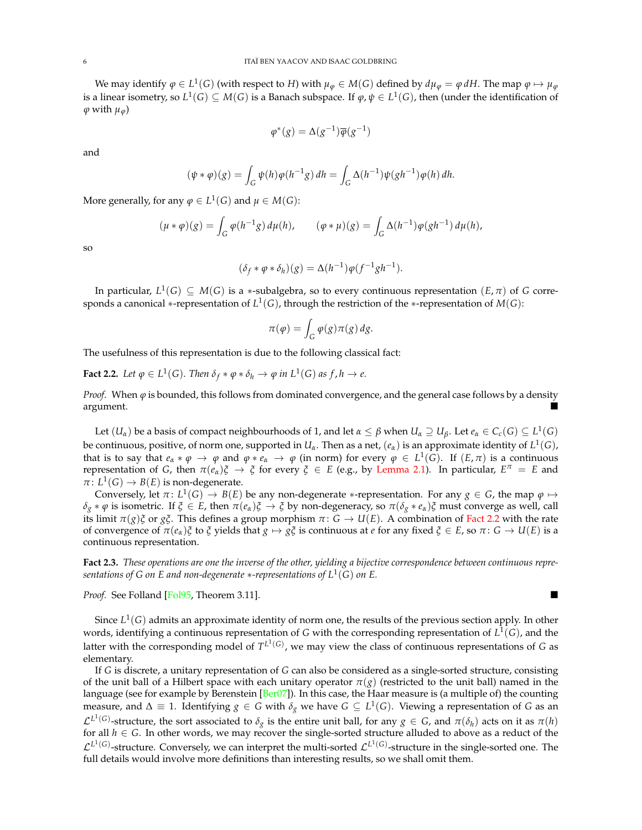We may identify  $\varphi \in L^1(G)$  (with respect to *H*) with  $\mu_{\varphi} \in M(G)$  defined by  $d\mu_{\varphi} = \varphi dH$ . The map  $\varphi \mapsto \mu_{\varphi}$ is a linear isometry, so  $L^1(G) \subseteq M(G)$  is a Banach subspace. If  $\varphi, \psi \in L^1(G)$ , then (under the identification of  $\varphi$  with  $\mu_{\varphi}$ )

$$
\varphi^*(g) = \Delta(g^{-1})\overline{\varphi}(g^{-1})
$$

and

$$
(\psi * \varphi)(g) = \int_G \psi(h)\varphi(h^{-1}g) dh = \int_G \Delta(h^{-1})\psi(gh^{-1})\varphi(h) dh.
$$

More generally, for any  $\varphi \in L^1(G)$  and  $\mu \in M(G)$ :

$$
(\mu * \varphi)(g) = \int_G \varphi(h^{-1}g) d\mu(h), \qquad (\varphi * \mu)(g) = \int_G \Delta(h^{-1}) \varphi(gh^{-1}) d\mu(h),
$$

so

$$
(\delta_f * \varphi * \delta_h)(g) = \Delta(h^{-1})\varphi(f^{-1}gh^{-1}).
$$

In particular,  $L^1(G) \subseteq M(G)$  is a \*-subalgebra, so to every continuous representation  $(E, \pi)$  of *G* corresponds a canonical \*-representation of  $L^1(G)$ , through the restriction of the \*-representation of  $M(G)$ :

$$
\pi(\varphi) = \int_G \varphi(g)\pi(g) \, dg.
$$

The usefulness of this representation is due to the following classical fact:

**Fact 2.2.** Let  $\varphi \in L^1(G)$ . Then  $\delta_f * \varphi * \delta_h \to \varphi$  in  $L^1(G)$  as  $f, h \to e$ .

*Proof.* When  $\varphi$  is bounded, this follows from dominated convergence, and the general case follows by a density  $\blacksquare$ argument.  $\blacksquare$ 

Let  $(U_\alpha)$  be a basis of compact neighbourhoods of 1, and let  $\alpha \leq \beta$  when  $U_\alpha \supseteq U_\beta$ . Let  $e_\alpha \in C_c(G) \subseteq L^1(G)$ be continuous, positive, of norm one, supported in  $U_\alpha$ . Then as a net,  $(e_\alpha)$  is an approximate identity of  $L^1(G)$ , that is to say that  $e_{\alpha} * \varphi \to \varphi$  and  $\varphi * e_{\alpha} \to \varphi$  (in norm) for every  $\varphi \in L^1(G)$ . If  $(E, \pi)$  is a continuous representation of *G*, then  $\pi(e_{\alpha})\xi \to \xi$  for every  $\xi \in E$  (e.g., by Lemma 2.1). In particular,  $E^{\pi} = E$  and  $\pi: L^1(G) \to B(E)$  is non-degenerate.

Conversely, let  $\pi: L^1(G) \to B(E)$  be any non-degenerate \*-representation. For any  $g \in G$ , the map  $\varphi \mapsto$  $\delta_g * \varphi$  is isometric. If  $\xi \in E$ , then  $\pi(e_\alpha)\xi \to \xi$  by non-degeneracy, so  $\pi(\delta_g * e_\alpha)\xi$  must converge as well, call its limit  $\pi(g)\xi$  or  $g\xi$ . This defines a group morphism  $\pi: G \to U(E)$ . A combination of Fact 2.2 with the rate of convergence of  $\pi(e_\alpha)\xi$  to  $\xi$  yields that  $g \mapsto g\xi$  is continuous at *e* for any fixed  $\xi \in E$ , so  $\pi: G \to U(E)$  is a continuous representation.

**Fact 2.3.** *These operations are one the inverse of the other, yielding a bijective correspondence between continuous representations of G on E and non-degenerate* \*-representations of  $L^1(G)$  on E.

*Proof.* See Folland [Fol95, Theorem 3.11].

Since *L*1(*G*) admits an approximate identity of norm one, the results of the previous section apply. In other words, identifying a continuous representation of *G* with the corresponding representation of *L*1(*G*), and the latter with the corresponding model of  $T^{L^1(G)}$ , we may view the class of continuous representations of *G* as elementary.

If *G* is discrete, a unitary representation of *G* can also be considered as a single-sorted structure, consisting of the unit ball of a Hilbert space with each unitary operator  $\pi(g)$  (restricted to the unit ball) named in the language (see for example by Berenstein [Ber07]). In this case, the Haar measure is (a multiple of) the counting measure, and  $\Delta \equiv 1$ . Identifying  $g \in G$  with  $\delta_g$  we have  $G \subseteq L^1(G)$ . Viewing a representation of *G* as an  $\mathcal{L}^{L^1(G)}$ -structure, the sort associated to  $\delta_g$  is the entire unit ball, for any  $g \in G$ , and  $\pi(\delta_h)$  acts on it as  $\pi(h)$ for all  $h \in G$ . In other words, we may recover the single-sorted structure alluded to above as a reduct of the  $\mathcal{L}^{L^1(G)}$ -structure. Conversely, we can interpret the multi-sorted  $\mathcal{L}^{L^1(G)}$ -structure in the single-sorted one. The full details would involve more definitions than interesting results, so we shall omit them.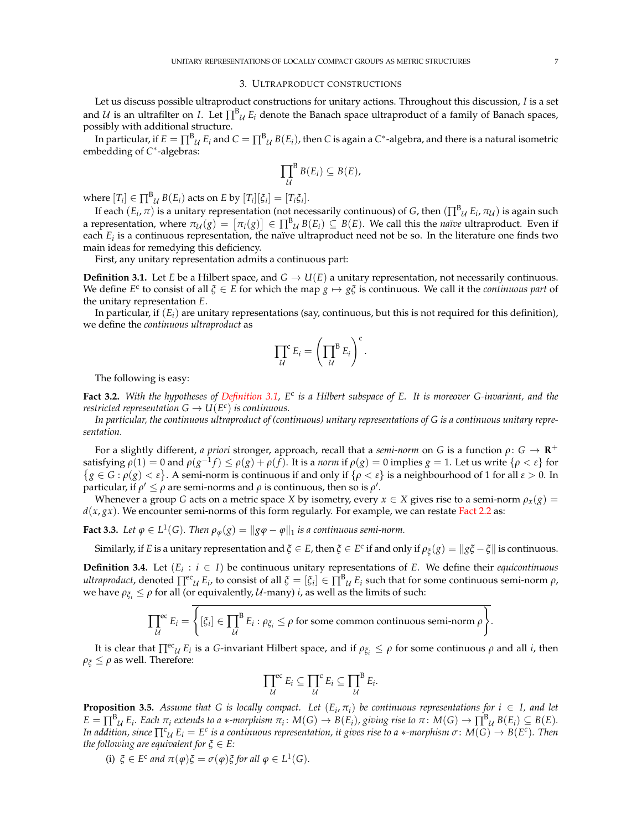#### 3. ULTRAPRODUCT CONSTRUCTIONS

Let us discuss possible ultraproduct constructions for unitary actions. Throughout this discussion, *I* is a set and *U* is an ultrafilter on *I*. Let  $\prod^B u E_i$  denote the Banach space ultraproduct of a family of Banach spaces, possibly with additional structure.

In particular, if  $E = \prod^B_{\mathcal{U}} E_i$  and  $C = \prod^B_{\mathcal{U}} B(E_i)$ , then *C* is again a  $C^*$ -algebra, and there is a natural isometric embedding of C<sup>\*</sup>-algebras:

$$
\prod_{\mathcal{U}}^B B(E_i) \subseteq B(E),
$$

where  $[T_i] \in \prod^B \mathcal{U} B(E_i)$  acts on  $E$  by  $[T_i][\xi_i] = [T_i \xi_i].$ 

If each  $(E_i, \pi)$  is a unitary representation (not necessarily continuous) of *G*, then  $(\prod^B u E_i, \pi u)$  is again such a representation, where  $\pi_{\mathcal{U}}(g) = [\pi_i(g)] \in \prod^B_{\mathcal{U}} B(E_i) \subseteq B(E)$ . We call this the *naïve* ultraproduct. Even if each *E<sub>i</sub>* is a continuous representation, the naïve ultraproduct need not be so. In the literature one finds two main ideas for remedying this deficiency.

First, any unitary representation admits a continuous part:

**Definition 3.1.** Let *E* be a Hilbert space, and  $G \rightarrow U(E)$  a unitary representation, not necessarily continuous. We define  $E^c$  to consist of all  $\zeta \in E$  for which the map  $g \mapsto g\zeta$  is continuous. We call it the *continuous part* of the unitary representation *E*.

In particular, if (*Ei*) are unitary representations (say, continuous, but this is not required for this definition), we define the *continuous ultraproduct* as

$$
\prod_{\mathcal{U}}^{\mathcal{C}} E_i = \left(\prod_{\mathcal{U}}^{\mathcal{B}} E_i\right)^{\mathcal{C}}.
$$

The following is easy:

**Fact 3.2.** *With the hypotheses of Definition 3.1, E*<sup>c</sup> *is a Hilbert subspace of E. It is moreover G-invariant, and the restricted representation*  $G \to U(E^c)$  *is continuous.* 

*In particular, the continuous ultraproduct of (continuous) unitary representations of G is a continuous unitary representation.*

For a slightly different, *a priori* stronger, approach, recall that a *semi-norm* on *G* is a function  $\rho$ :  $G \to \mathbb{R}^+$ satisfying  $\rho(1) = 0$  and  $\rho(g^{-1}f) \le \rho(g) + \rho(f)$ . It is a *norm* if  $\rho(g) = 0$  implies  $g = 1$ . Let us write  $\{\rho < \varepsilon\}$  for  $g \in G : \rho(g) < \varepsilon$ . A semi-norm is continuous if and only if  $\{\rho < \varepsilon\}$  is a neighbourhood of 1 for all  $\varepsilon > 0$ . In particular, if  $\rho' \le \rho$  are semi-norms and  $\rho$  is continuous, then so is  $\rho'$ .

Whenever a group *G* acts on a metric space *X* by isometry, every  $x \in X$  gives rise to a semi-norm  $\rho_x(g) =$  $d(x, gx)$ . We encounter semi-norms of this form regularly. For example, we can restate Fact 2.2 as:

**Fact 3.3.** Let  $\varphi \in L^1(G)$ . Then  $\rho_{\varphi}(g) = ||g\varphi - \varphi||_1$  is a continuous semi-norm.

Similarly, if *E* is a unitary representation and  $\xi \in E$ , then  $\xi \in E^c$  if and only if  $\rho_{\xi}(g) = ||g\xi - \xi||$  is continuous.

**Definition 3.4.** Let  $(E_i : i \in I)$  be continuous unitary representations of *E*. We define their *equicontinuous ultraproduct*, denoted  $\prod_{i=1}^{e} E_i$ , to consist of all  $\zeta = [\zeta_i] \in \prod_{i=1}^{e} E_i$  such that for some continuous semi-norm  $\rho$ , we have  $\rho_{\xi_i} \leq \rho$  for all (or equivalently,  $U$ -many) *i*, as well as the limits of such:

$$
\prod_{\mathcal{U}}^{ec} E_i = \overline{\left\{ [\xi_i] \in \prod_{\mathcal{U}}^{B} E_i : \rho_{\xi_i} \le \rho \text{ for some common continuous semi-norm } \rho \right\}}.
$$

It is clear that  $\prod^{ec} u E_i$  is a *G*-invariant Hilbert space, and if  $\rho_{\xi_i} \le \rho$  for some continuous  $\rho$  and all *i*, then  $\rho_{\zeta} \leq \rho$  as well. Therefore:

$$
\prod_{\mathcal{U}}^{\text{ec}} E_i \subseteq \prod_{\mathcal{U}}^{\text{c}} E_i \subseteq \prod_{\mathcal{U}}^{\text{B}} E_i.
$$

**Proposition 3.5.** Assume that G is locally compact. Let  $(E_i, \pi_i)$  be continuous representations for  $i \in I$ , and let  $E = \prod_{i=1}^{B} E_i$ . Each  $\pi_i$  extends to a  $*$ -morphism  $\pi_i \colon M(G) \to B(E_i)$ , giving rise to  $\pi \colon M(G) \to \prod_{i=1}^{B} U B(E_i) \subseteq B(E)$ . *In addition, since*  $\prod_{i=1}^{c} U_i E_i = E^c$  *is a continuous representation, it gives rise to a*  $*$ *-morphism*  $\sigma \colon M(G) \to B(E^c)$ *. Then the following are equivalent for*  $\xi \in E$ *:* 

(i)  $\xi \in E^c$  *and*  $\pi(\varphi)\xi = \sigma(\varphi)\xi$  *for all*  $\varphi \in L^1(G)$ *.*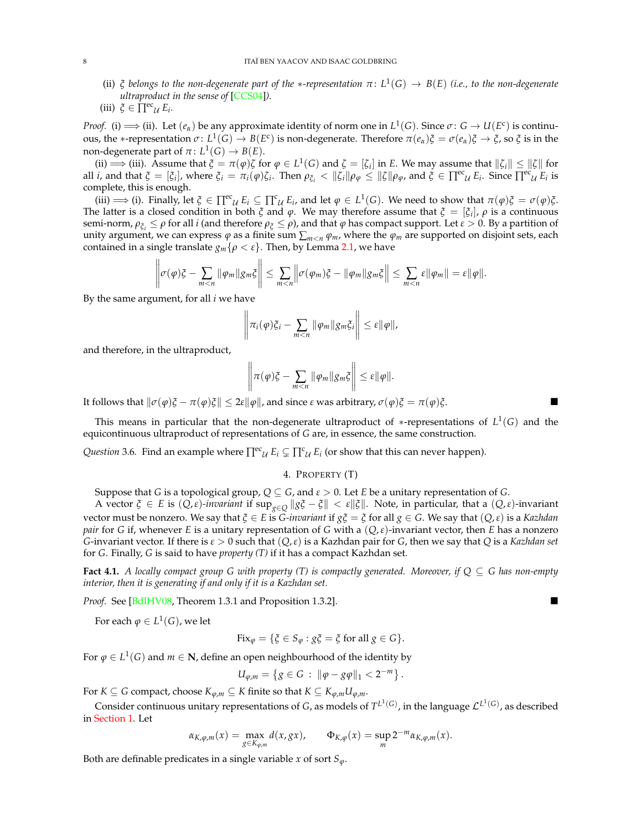(ii)  $\zeta$  *belongs to the non-degenerate part of the \*-representation*  $\pi: L^1(G) \to B(E)$  (*i.e., to the non-degenerate ultraproduct in the sense of* [CCS04]*).*

(iii) 
$$
\xi \in \Pi^{\text{ec}} \mathcal{U} E_i.
$$

*Proof.* (i)  $\implies$  (ii). Let  $(e_\alpha)$  be any approximate identity of norm one in  $L^1(G)$ . Since  $\sigma: G \to U(E^c)$  is continuous, the \*-representation  $\sigma: L^1(G) \to B(E^c)$  is non-degenerate. Therefore  $\pi(e_\alpha) \xi = \sigma(e_\alpha) \xi \to \xi$ , so  $\xi$  is in the non-degenerate part of  $\pi: L^1(G) \to B(E)$ .

(ii)  $\implies$  (iii). Assume that  $\zeta = \pi(\varphi)\zeta$  for  $\varphi \in L^1(G)$  and  $\zeta = [\zeta_i]$  in *E*. We may assume that  $\|\zeta_i\| \le \|\zeta\|$  for all *i*, and that  $\xi = [\xi_i]$ , where  $\xi_i = \pi_i(\varphi)\zeta_i$ . Then  $\rho_{\xi_i} < ||\zeta_i|| \rho_{\varphi} \le ||\zeta|| \rho_{\varphi}$ , and  $\xi \in \prod^{ec} u E_i$ . Since  $\prod^{ec} u E_i$  is complete, this is enough.

(iii)  $\implies$  (i). Finally, let  $\xi \in \prod^{ec} u E_i \subseteq \prod^c u E_i$ , and let  $\varphi \in L^1(G)$ . We need to show that  $\pi(\varphi)\xi = \sigma(\varphi)\xi$ . The latter is a closed condition in both  $\zeta$  and  $\varphi$ . We may therefore assume that  $\zeta = [\zeta_i]$ ,  $\rho$  is a continuous semi-norm,  $\rho_{\xi_i} \le \rho$  for all *i* (and therefore  $\rho_{\xi} \le \rho$ ), and that  $\varphi$  has compact support. Let  $\epsilon > 0$ . By a partition of unity argument, we can express  $\varphi$  as a finite sum  $\sum_{m \le n} \varphi_m$ , where the  $\varphi_m$  are supported on disjoint sets, each contained in a single translate  $g_m$  { $\rho < \varepsilon$ }. Then, by Lemma 2.1, we have

$$
\left\|\sigma(\varphi)\xi-\sum_{m
$$

By the same argument, for all *i* we have

$$
\left\|\pi_i(\varphi)\xi_i-\sum_{m
$$

and therefore, in the ultraproduct,

$$
\left\|\pi(\varphi)\xi-\sum_{m
$$

It follows that  $\|\sigma(\varphi)\xi - \pi(\varphi)\xi\| \leq 2\varepsilon \|\varphi\|$ , and since  $\varepsilon$  was arbitrary,  $\sigma(\varphi)\xi = \pi(\varphi)\xi$ .

This means in particular that the non-degenerate ultraproduct of \*-representations of  $L^1(G)$  and the equicontinuous ultraproduct of representations of *G* are, in essence, the same construction.

*Question* 3.6. Find an example where  $\prod^{ec} u E_i \subsetneq \prod^c u E_i$  (or show that this can never happen).

# 4. PROPERTY (T)

Suppose that *G* is a topological group,  $Q \subseteq G$ , and  $\epsilon > 0$ . Let *E* be a unitary representation of *G*.

A vector  $\xi \in E$  is  $(Q, \varepsilon)$ *-invariant* if  $\sup_{g \in Q} \|g\zeta - \xi\| < \varepsilon \|\xi\|$ . Note, in particular, that a  $(Q, \varepsilon)$ *-invariant* vector must be nonzero. We say that  $\zeta \in E$  is *G-invariant* if  $g\zeta = \zeta$  for all  $g \in G$ . We say that  $(Q, \varepsilon)$  is a *Kazhdan pair* for *G* if, whenever *E* is a unitary representation of *G* with a  $(Q, \varepsilon)$ -invariant vector, then *E* has a nonzero *G*-invariant vector. If there is  $\epsilon > 0$  such that  $(Q, \epsilon)$  is a Kazhdan pair for *G*, then we say that *Q* is a *Kazhdan set* for *G*. Finally, *G* is said to have *property (T)* if it has a compact Kazhdan set.

**Fact 4.1.** *A locally compact group G with property (T) is compactly generated. Moreover, if*  $Q \subseteq G$  *has non-empty interior, then it is generating if and only if it is a Kazhdan set.*

*Proof.* See [BdlHV08, Theorem 1.3.1 and Proposition 1.3.2].

For each  $\varphi \in L^1(G)$ , we let

$$
Fix_{\varphi} = \{ \xi \in S_{\varphi} : g\xi = \xi \text{ for all } g \in G \}.
$$

For  $\varphi \in L^1(G)$  and  $m \in \mathbb{N}$ , define an open neighbourhood of the identity by

$$
U_{\varphi,m} = \{ g \in G : ||\varphi - g\varphi||_1 < 2^{-m} \}.
$$

For *K*  $\subseteq$  *G* compact, choose  $K_{\varphi,m} \subseteq K$  finite so that  $K \subseteq K_{\varphi,m}U_{\varphi,m}$ .

Consider continuous unitary representations of *G*, as models of  $T^{L^1(G)}$ , in the language  $\mathcal{L}^{L^1(G)}$ , as described in Section 1. Let

$$
\alpha_{K,\varphi,m}(x) = \max_{g \in K_{\varphi,m}} d(x,gx), \qquad \Phi_{K,\varphi}(x) = \sup_m 2^{-m} \alpha_{K,\varphi,m}(x).
$$

Both are definable predicates in a single variable *x* of sort  $S_{\varphi}$ .